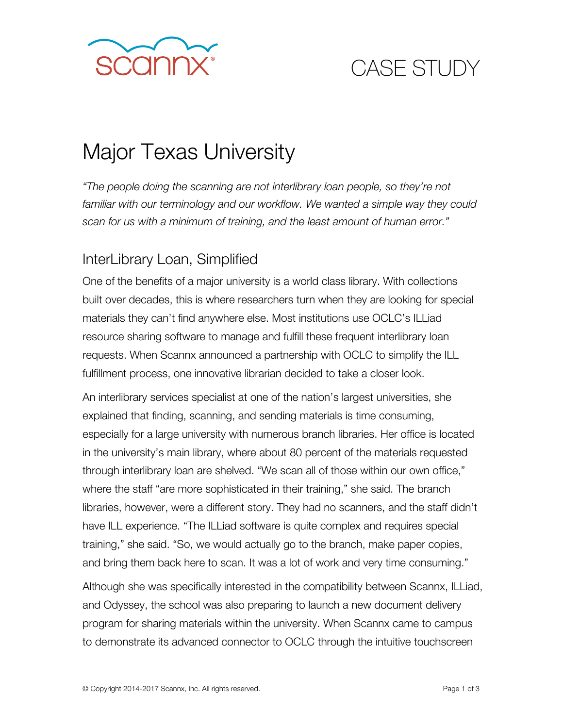

# CASE STUDY

# Major Texas University

*"The people doing the scanning are not interlibrary loan people, so they're not*  familiar with our terminology and our workflow. We wanted a simple way they could *scan for us with a minimum of training, and the least amount of human error."* 

#### InterLibrary Loan, Simplified

One of the benefits of a major university is a world class library. With collections built over decades, this is where researchers turn when they are looking for special materials they can't find anywhere else. Most institutions use OCLC's ILLiad resource sharing software to manage and fulfill these frequent interlibrary loan requests. When Scannx announced a partnership with OCLC to simplify the ILL fulfillment process, one innovative librarian decided to take a closer look.

An interlibrary services specialist at one of the nation's largest universities, she explained that finding, scanning, and sending materials is time consuming, especially for a large university with numerous branch libraries. Her office is located in the university's main library, where about 80 percent of the materials requested through interlibrary loan are shelved. "We scan all of those within our own office," where the staff "are more sophisticated in their training," she said. The branch libraries, however, were a different story. They had no scanners, and the staff didn't have ILL experience. "The ILLiad software is quite complex and requires special training," she said. "So, we would actually go to the branch, make paper copies, and bring them back here to scan. It was a lot of work and very time consuming."

Although she was specifically interested in the compatibility between Scannx, ILLiad, and Odyssey, the school was also preparing to launch a new document delivery program for sharing materials within the university. When Scannx came to campus to demonstrate its advanced connector to OCLC through the intuitive touchscreen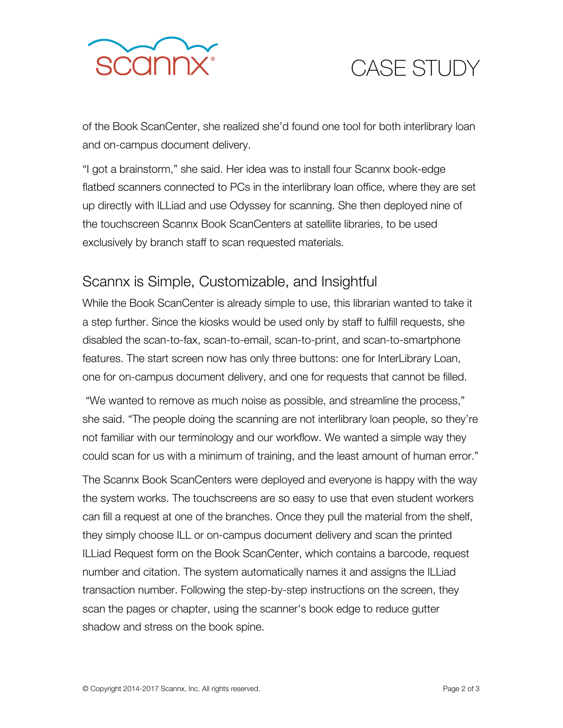

## CASE STUDY

of the Book ScanCenter, she realized she'd found one tool for both interlibrary loan and on-campus document delivery.

"I got a brainstorm," she said. Her idea was to install four Scannx book-edge flatbed scanners connected to PCs in the interlibrary loan office, where they are set up directly with ILLiad and use Odyssey for scanning. She then deployed nine of the touchscreen Scannx Book ScanCenters at satellite libraries, to be used exclusively by branch staff to scan requested materials.

#### Scannx is Simple, Customizable, and Insightful

While the Book ScanCenter is already simple to use, this librarian wanted to take it a step further. Since the kiosks would be used only by staff to fulfill requests, she disabled the scan-to-fax, scan-to-email, scan-to-print, and scan-to-smartphone features. The start screen now has only three buttons: one for InterLibrary Loan, one for on-campus document delivery, and one for requests that cannot be filled.

"We wanted to remove as much noise as possible, and streamline the process," she said. "The people doing the scanning are not interlibrary loan people, so they're not familiar with our terminology and our workflow. We wanted a simple way they could scan for us with a minimum of training, and the least amount of human error."

The Scannx Book ScanCenters were deployed and everyone is happy with the way the system works. The touchscreens are so easy to use that even student workers can fill a request at one of the branches. Once they pull the material from the shelf, they simply choose ILL or on-campus document delivery and scan the printed ILLiad Request form on the Book ScanCenter, which contains a barcode, request number and citation. The system automatically names it and assigns the ILLiad transaction number. Following the step-by-step instructions on the screen, they scan the pages or chapter, using the scanner's book edge to reduce gutter shadow and stress on the book spine.